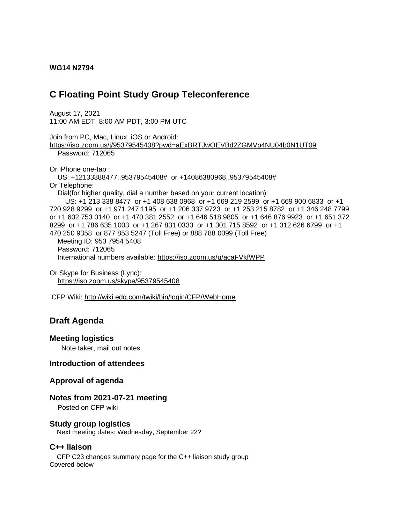#### **WG14 N2794**

# **C Floating Point Study Group Teleconference**

August 17, 2021 11:00 AM EDT, 8:00 AM PDT, 3:00 PM UTC

Join from PC, Mac, Linux, iOS or Android: <https://iso.zoom.us/j/95379545408?pwd=aExBRTJwOEVBd2ZGMVp4NU04b0N1UT09> Password: 712065 Or iPhone one-tap : US: +12133388477,,95379545408# or +14086380968,,95379545408# Or Telephone: Dial(for higher quality, dial a number based on your current location): US: +1 213 338 8477 or +1 408 638 0968 or +1 669 219 2599 or +1 669 900 6833 or +1 720 928 9299 or +1 971 247 1195 or +1 206 337 9723 or +1 253 215 8782 or +1 346 248 7799 or +1 602 753 0140 or +1 470 381 2552 or +1 646 518 9805 or +1 646 876 9923 or +1 651 372 8299 or +1 786 635 1003 or +1 267 831 0333 or +1 301 715 8592 or +1 312 626 6799 or +1 470 250 9358 or 877 853 5247 (Toll Free) or 888 788 0099 (Toll Free) Meeting ID: 953 7954 5408 Password: 712065 International numbers available:<https://iso.zoom.us/u/acaFVkfWPP>

Or Skype for Business (Lync): <https://iso.zoom.us/skype/95379545408>

CFP Wiki:<http://wiki.edg.com/twiki/bin/login/CFP/WebHome>

## **Draft Agenda**

#### **Meeting logistics**

Note taker, mail out notes

#### **Introduction of attendees**

#### **Approval of agenda**

#### **Notes from 2021-07-21 meeting**

Posted on CFP wiki

#### **Study group logistics**

Next meeting dates: Wednesday, September 22?

#### **C++ liaison**

 CFP C23 changes summary page for the C++ liaison study group Covered below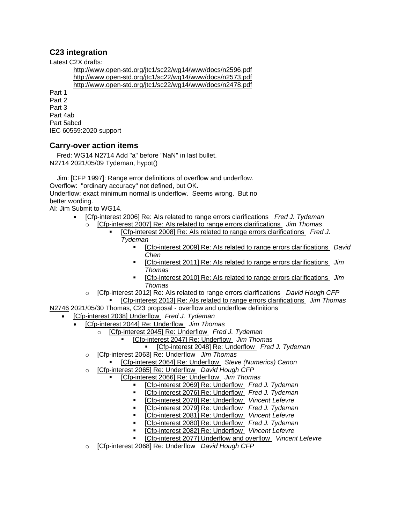### **C23 integration**

Latest C2X drafts:

<http://www.open-std.org/jtc1/sc22/wg14/www/docs/n2596.pdf> <http://www.open-std.org/jtc1/sc22/wg14/www/docs/n2573.pdf> <http://www.open-std.org/jtc1/sc22/wg14/www/docs/n2478.pdf>

Part 1 Part 2 Part 3 Part 4ab Part 5abcd IEC 60559:2020 support

### **Carry-over action items**

Fred: WG14 N2714 Add "a" before "NaN" in last bullet. [N2714](http://www.open-std.org/jtc1/sc22/wg14/www/docs/n2714.htm) 2021/05/09 Tydeman, hypot()

 Jim: [CFP 1997]: Range error definitions of overflow and underflow. Overflow: "ordinary accuracy" not defined, but OK. Underflow: exact minimum normal is underflow. Seems wrong. But no better wording. AI: Jim Submit to WG14.

- [\[Cfp-interest 2006\] Re: AIs related to range errors clarifications](https://mailman.oakapple.net/pipermail/cfp-interest/2021-May/002020.html) *Fred J. Tydeman*
	- o [\[Cfp-interest 2007\] Re: AIs related to range errors clarifications](https://mailman.oakapple.net/pipermail/cfp-interest/2021-May/002021.html) *Jim Thomas*
		- [\[Cfp-interest 2008\] Re: AIs related to range errors clarifications](https://mailman.oakapple.net/pipermail/cfp-interest/2021-May/002022.html) *Fred J. Tydeman*
			- [\[Cfp-interest 2009\] Re: AIs related to range errors clarifications](https://mailman.oakapple.net/pipermail/cfp-interest/2021-May/002023.html) *David Chen*
			- [Cfp-interest 2011] Re: Als related to range errors clarifications *Jim Thomas*
			- [\[Cfp-interest 2010\] Re: AIs related to range errors clarifications](https://mailman.oakapple.net/pipermail/cfp-interest/2021-May/002024.html) *Jim Thomas*
		- [Cfp-interest 2012] Re: Als related to range errors clarifications *David Hough CFP*
- [\[Cfp-interest 2013\] Re: AIs related to range errors clarifications](https://mailman.oakapple.net/pipermail/cfp-interest/2021-May/002027.html) *Jim Thomas* [N2746](http://www.open-std.org/jtc1/sc22/wg14/www/docs/n2746.pdf) 2021/05/30 Thomas, C23 proposal - overflow and underflow definitions
	- [\[Cfp-interest 2038\] Underflow](https://mailman.oakapple.net/pipermail/cfp-interest/2021-June/002052.html) *Fred J. Tydeman*
		- [\[Cfp-interest 2044\] Re: Underflow](https://mailman.oakapple.net/pipermail/cfp-interest/2021-July/002058.html) *Jim Thomas*
			- o [\[Cfp-interest 2045\] Re: Underflow](https://mailman.oakapple.net/pipermail/cfp-interest/2021-July/002059.html) *Fred J. Tydeman*
				- [\[Cfp-interest 2047\] Re: Underflow](https://mailman.oakapple.net/pipermail/cfp-interest/2021-July/002061.html) *Jim Thomas*
				- [\[Cfp-interest 2048\] Re: Underflow](https://mailman.oakapple.net/pipermail/cfp-interest/2021-July/002062.html) *Fred J. Tydeman*
			- o [\[Cfp-interest 2063\] Re: Underflow](https://mailman.oakapple.net/pipermail/cfp-interest/2021-July/002077.html) *Jim Thomas*
				- [\[Cfp-interest 2064\] Re: Underflow](https://mailman.oakapple.net/pipermail/cfp-interest/2021-July/002078.html) *Steve (Numerics) Canon*
			- o [\[Cfp-interest 2065\] Re: Underflow](https://mailman.oakapple.net/pipermail/cfp-interest/2021-July/002079.html) *David Hough CFP*
				- [\[Cfp-interest 2066\] Re: Underflow](https://mailman.oakapple.net/pipermail/cfp-interest/2021-July/002080.html) *Jim Thomas* 
					- [\[Cfp-interest 2069\] Re: Underflow](https://mailman.oakapple.net/pipermail/cfp-interest/2021-July/002083.html) *Fred J. Tydeman*
					- [\[Cfp-interest 2076\] Re: Underflow](https://mailman.oakapple.net/pipermail/cfp-interest/2021-July/002090.html) *Fred J. Tydeman*
					- [\[Cfp-interest 2078\] Re: Underflow](https://mailman.oakapple.net/pipermail/cfp-interest/2021-July/002092.html) *Vincent Lefevre*
					- [\[Cfp-interest 2079\] Re: Underflow](https://mailman.oakapple.net/pipermail/cfp-interest/2021-July/002093.html) *Fred J. Tydeman*
					- [\[Cfp-interest 2081\] Re: Underflow](https://mailman.oakapple.net/pipermail/cfp-interest/2021-July/002095.html) *Vincent Lefevre*
					- [\[Cfp-interest 2080\] Re: Underflow](https://mailman.oakapple.net/pipermail/cfp-interest/2021-July/002094.html) *Fred J. Tydeman*
					- [\[Cfp-interest 2082\] Re: Underflow](https://mailman.oakapple.net/pipermail/cfp-interest/2021-July/002096.html) *Vincent Lefevre*
					- [\[Cfp-interest 2077\] Underflow and overflow](https://mailman.oakapple.net/pipermail/cfp-interest/2021-July/002091.html) *Vincent Lefevre*
			- o [\[Cfp-interest 2068\] Re: Underflow](https://mailman.oakapple.net/pipermail/cfp-interest/2021-July/002082.html) *David Hough CFP*